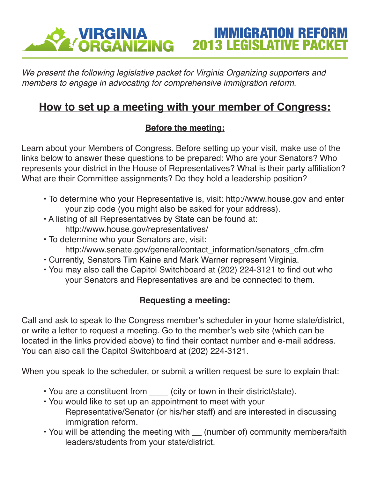### **E VIRGINIA<br>É ORGANIZING** IMMIGRATION REFORM 2013 LEGISLATIVE PACKET

*We present the following legislative packet for Virginia Organizing supporters and members to engage in advocating for comprehensive immigration reform.*

## **How to set up a meeting with your member of Congress:**

### **Before the meeting:**

Learn about your Members of Congress. Before setting up your visit, make use of the links below to answer these questions to be prepared: Who are your Senators? Who represents your district in the House of Representatives? What is their party affiliation? What are their Committee assignments? Do they hold a leadership position?

- To determine who your Representative is, visit: http://www.house.gov and enter your zip code (you might also be asked for your address).
- A listing of all Representatives by State can be found at: http://www.house.gov/representatives/
- To determine who your Senators are, visit: http://www.senate.gov/general/contact\_information/senators\_cfm.cfm
- Currently, Senators Tim Kaine and Mark Warner represent Virginia.
- You may also call the Capitol Switchboard at (202) 224-3121 to find out who your Senators and Representatives are and be connected to them.

### **Requesting a meeting:**

Call and ask to speak to the Congress member's scheduler in your home state/district, or write a letter to request a meeting. Go to the member's web site (which can be located in the links provided above) to find their contact number and e-mail address. You can also call the Capitol Switchboard at (202) 224-3121.

When you speak to the scheduler, or submit a written request be sure to explain that:

- You are a constituent from \_\_\_\_ (city or town in their district/state).
- You would like to set up an appointment to meet with your Representative/Senator (or his/her staff) and are interested in discussing immigration reform.
- You will be attending the meeting with \_\_ (number of) community members/faith leaders/students from your state/district.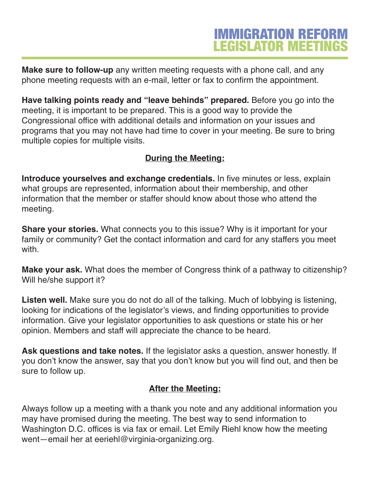# **IMMIGRATION REFORM LEGISLATOR MEETINGS**

**Make sure to follow-up** any written meeting requests with a phone call, and any phone meeting requests with an e-mail, letter or fax to confirm the appointment.

**Have talking points ready and "leave behinds" prepared.** Before you go into the meeting, it is important to be prepared. This is a good way to provide the Congressional office with additional details and information on your issues and programs that you may not have had time to cover in your meeting. Be sure to bring multiple copies for multiple visits.

### **During the Meeting:**

**Introduce yourselves and exchange credentials.** In five minutes or less, explain what groups are represented, information about their membership, and other information that the member or staffer should know about those who attend the meeting.

**Share your stories.** What connects you to this issue? Why is it important for your family or community? Get the contact information and card for any staffers you meet with.

**Make your ask.** What does the member of Congress think of a pathway to citizenship? Will he/she support it?

**Listen well.** Make sure you do not do all of the talking. Much of lobbying is listening, looking for indications of the legislator's views, and finding opportunities to provide information. Give your legislator opportunities to ask questions or state his or her opinion. Members and staff will appreciate the chance to be heard.

**Ask questions and take notes.** If the legislator asks a question, answer honestly. If you don't know the answer, say that you don't know but you will find out, and then be sure to follow up.

### **After the Meeting:**

Always follow up a meeting with a thank you note and any additional information you may have promised during the meeting. The best way to send information to Washington D.C. offices is via fax or email. Let Emily Riehl know how the meeting went—email her at eeriehl@virginia-organizing.org.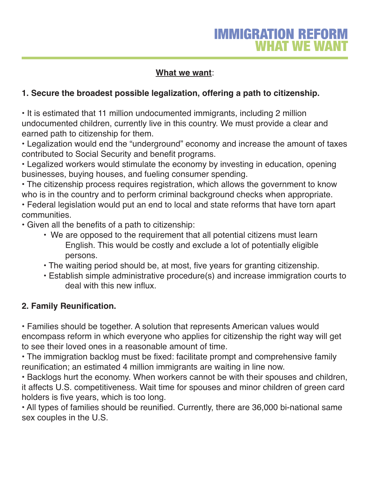### **What we want**:

### **1. Secure the broadest possible legalization, offering a path to citizenship.**

• It is estimated that 11 million undocumented immigrants, including 2 million undocumented children, currently live in this country. We must provide a clear and earned path to citizenship for them.

• Legalization would end the "underground" economy and increase the amount of taxes contributed to Social Security and benefit programs.

• Legalized workers would stimulate the economy by investing in education, opening businesses, buying houses, and fueling consumer spending.

• The citizenship process requires registration, which allows the government to know who is in the country and to perform criminal background checks when appropriate.

• Federal legislation would put an end to local and state reforms that have torn apart communities.

• Given all the benefits of a path to citizenship:

- We are opposed to the requirement that all potential citizens must learn English. This would be costly and exclude a lot of potentially eligible persons.
- The waiting period should be, at most, five years for granting citizenship.
- Establish simple administrative procedure(s) and increase immigration courts to deal with this new influx.

### **2. Family Reunification.**

• Families should be together. A solution that represents American values would encompass reform in which everyone who applies for citizenship the right way will get to see their loved ones in a reasonable amount of time.

• The immigration backlog must be fixed: facilitate prompt and comprehensive family reunification; an estimated 4 million immigrants are waiting in line now.

• Backlogs hurt the economy. When workers cannot be with their spouses and children, it affects U.S. competitiveness. Wait time for spouses and minor children of green card holders is five years, which is too long.

• All types of families should be reunified. Currently, there are 36,000 bi-national same sex couples in the U.S.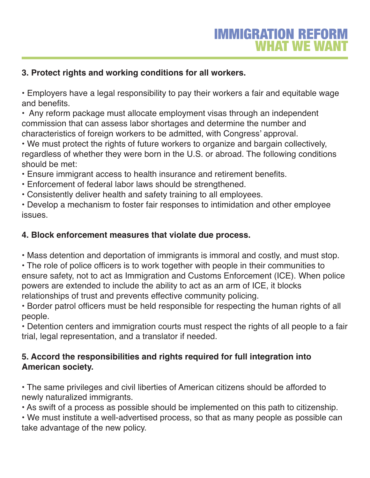### **3. Protect rights and working conditions for all workers.**

• Employers have a legal responsibility to pay their workers a fair and equitable wage and benefits.

• Any reform package must allocate employment visas through an independent commission that can assess labor shortages and determine the number and characteristics of foreign workers to be admitted, with Congress' approval.

• We must protect the rights of future workers to organize and bargain collectively, regardless of whether they were born in the U.S. or abroad. The following conditions should be met:

• Ensure immigrant access to health insurance and retirement benefits.

- Enforcement of federal labor laws should be strengthened.
- Consistently deliver health and safety training to all employees.

• Develop a mechanism to foster fair responses to intimidation and other employee issues.

### **4. Block enforcement measures that violate due process.**

• Mass detention and deportation of immigrants is immoral and costly, and must stop.

• The role of police officers is to work together with people in their communities to ensure safety, not to act as Immigration and Customs Enforcement (ICE). When police powers are extended to include the ability to act as an arm of ICE, it blocks relationships of trust and prevents effective community policing.

• Border patrol officers must be held responsible for respecting the human rights of all people.

• Detention centers and immigration courts must respect the rights of all people to a fair trial, legal representation, and a translator if needed.

### **5. Accord the responsibilities and rights required for full integration into American society.**

• The same privileges and civil liberties of American citizens should be afforded to newly naturalized immigrants.

• As swift of a process as possible should be implemented on this path to citizenship.

• We must institute a well-advertised process, so that as many people as possible can take advantage of the new policy.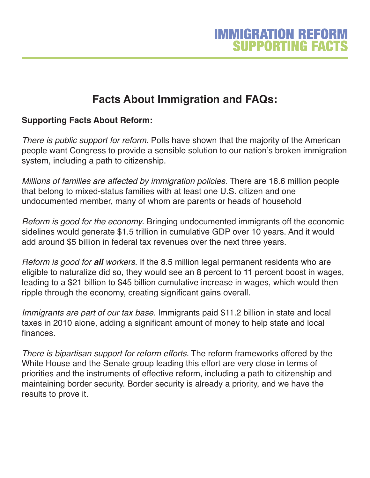# **Facts About Immigration and FAQs:**

### **Supporting Facts About Reform:**

*There is public support for reform*. Polls have shown that the majority of the American people want Congress to provide a sensible solution to our nation's broken immigration system, including a path to citizenship.

*Millions of families are affected by immigration policies*. There are 16.6 million people that belong to mixed-status families with at least one U.S. citizen and one undocumented member, many of whom are parents or heads of household

*Reform is good for the economy*. Bringing undocumented immigrants off the economic sidelines would generate \$1.5 trillion in cumulative GDP over 10 years. And it would add around \$5 billion in federal tax revenues over the next three years.

*Reform is good for all workers*. If the 8.5 million legal permanent residents who are eligible to naturalize did so, they would see an 8 percent to 11 percent boost in wages, leading to a \$21 billion to \$45 billion cumulative increase in wages, which would then ripple through the economy, creating significant gains overall.

*Immigrants are part of our tax base.* Immigrants paid \$11.2 billion in state and local taxes in 2010 alone, adding a significant amount of money to help state and local finances.

*There is bipartisan support for reform efforts.* The reform frameworks offered by the White House and the Senate group leading this effort are very close in terms of priorities and the instruments of effective reform, including a path to citizenship and maintaining border security. Border security is already a priority, and we have the results to prove it.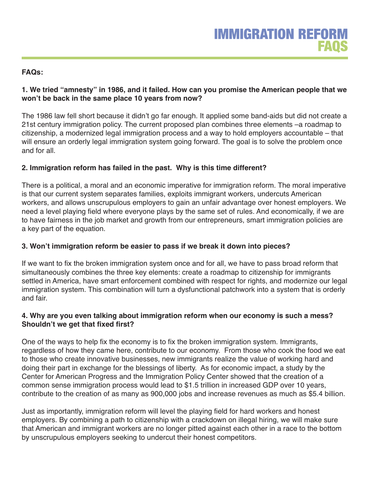#### **FAQs:**

#### **1. We tried "amnesty" in 1986, and it failed. How can you promise the American people that we won't be back in the same place 10 years from now?**

The 1986 law fell short because it didn't go far enough. It applied some band-aids but did not create a 21st century immigration policy. The current proposed plan combines three elements –a roadmap to citizenship, a modernized legal immigration process and a way to hold employers accountable – that will ensure an orderly legal immigration system going forward. The goal is to solve the problem once and for all.

#### **2. Immigration reform has failed in the past. Why is this time different?**

There is a political, a moral and an economic imperative for immigration reform. The moral imperative is that our current system separates families, exploits immigrant workers, undercuts American workers, and allows unscrupulous employers to gain an unfair advantage over honest employers. We need a level playing field where everyone plays by the same set of rules. And economically, if we are to have fairness in the job market and growth from our entrepreneurs, smart immigration policies are a key part of the equation.

#### **3. Won't immigration reform be easier to pass if we break it down into pieces?**

If we want to fix the broken immigration system once and for all, we have to pass broad reform that simultaneously combines the three key elements: create a roadmap to citizenship for immigrants settled in America, have smart enforcement combined with respect for rights, and modernize our legal immigration system. This combination will turn a dysfunctional patchwork into a system that is orderly and fair.

#### **4. Why are you even talking about immigration reform when our economy is such a mess? Shouldn't we get that fixed first?**

One of the ways to help fix the economy is to fix the broken immigration system. Immigrants, regardless of how they came here, contribute to our economy. From those who cook the food we eat to those who create innovative businesses, new immigrants realize the value of working hard and doing their part in exchange for the blessings of liberty. As for economic impact, a study by the Center for American Progress and the Immigration Policy Center showed that the creation of a common sense immigration process would lead to \$1.5 trillion in increased GDP over 10 years, contribute to the creation of as many as 900,000 jobs and increase revenues as much as \$5.4 billion.

Just as importantly, immigration reform will level the playing field for hard workers and honest employers. By combining a path to citizenship with a crackdown on illegal hiring, we will make sure that American and immigrant workers are no longer pitted against each other in a race to the bottom by unscrupulous employers seeking to undercut their honest competitors.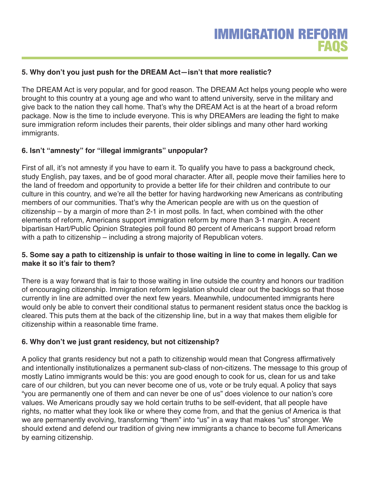#### **5. Why don't you just push for the DREAM Act—isn't that more realistic?**

The DREAM Act is very popular, and for good reason. The DREAM Act helps young people who were brought to this country at a young age and who want to attend university, serve in the military and give back to the nation they call home. That's why the DREAM Act is at the heart of a broad reform package. Now is the time to include everyone. This is why DREAMers are leading the fight to make sure immigration reform includes their parents, their older siblings and many other hard working immigrants.

#### **6. Isn't "amnesty" for "illegal immigrants" unpopular?**

First of all, it's not amnesty if you have to earn it. To qualify you have to pass a background check, study English, pay taxes, and be of good moral character. After all, people move their families here to the land of freedom and opportunity to provide a better life for their children and contribute to our culture in this country, and we're all the better for having hardworking new Americans as contributing members of our communities. That's why the American people are with us on the question of citizenship – by a margin of more than 2-1 in most polls. In fact, when combined with the other elements of reform, Americans support immigration reform by more than 3-1 margin. A recent bipartisan Hart/Public Opinion Strategies poll found 80 percent of Americans support broad reform with a path to citizenship – including a strong majority of Republican voters.

#### 5. Some say a path to citizenship is unfair to those waiting in line to come in legally. Can we **make it so it's fair to them?**

There is a way forward that is fair to those waiting in line outside the country and honors our tradition of encouraging citizenship. Immigration reform legislation should clear out the backlogs so that those currently in line are admitted over the next few years. Meanwhile, undocumented immigrants here would only be able to convert their conditional status to permanent resident status once the backlog is cleared. This puts them at the back of the citizenship line, but in a way that makes them eligible for citizenship within a reasonable time frame.

#### **6. Why don't we just grant residency, but not citizenship?**

A policy that grants residency but not a path to citizenship would mean that Congress affirmatively and intentionally institutionalizes a permanent sub-class of non-citizens. The message to this group of mostly Latino immigrants would be this: you are good enough to cook for us, clean for us and take care of our children, but you can never become one of us, vote or be truly equal. A policy that says "you are permanently one of them and can never be one of us" does violence to our nation's core values. We Americans proudly say we hold certain truths to be self-evident, that all people have rights, no matter what they look like or where they come from, and that the genius of America is that we are permanently evolving, transforming "them" into "us" in a way that makes "us" stronger. We should extend and defend our tradition of giving new immigrants a chance to become full Americans by earning citizenship.